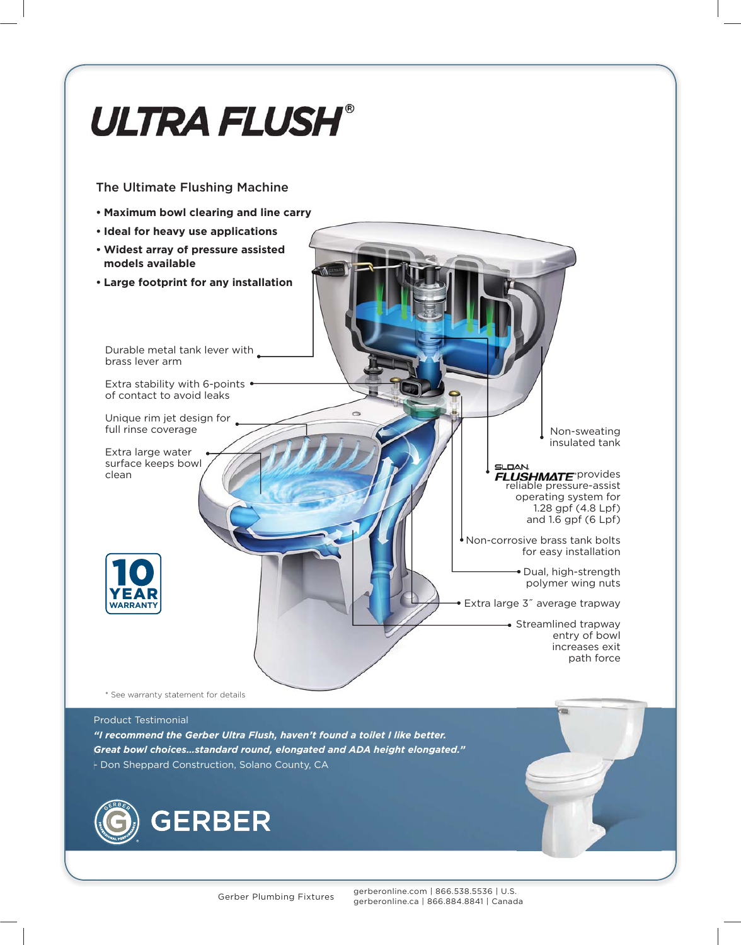

*"I recommend the Gerber Ultra Flush, haven't found a toilet I like better. Great bowl choices…standard round, elongated and ADA height elongated."* - Don Sheppard Construction, Solano County, CA